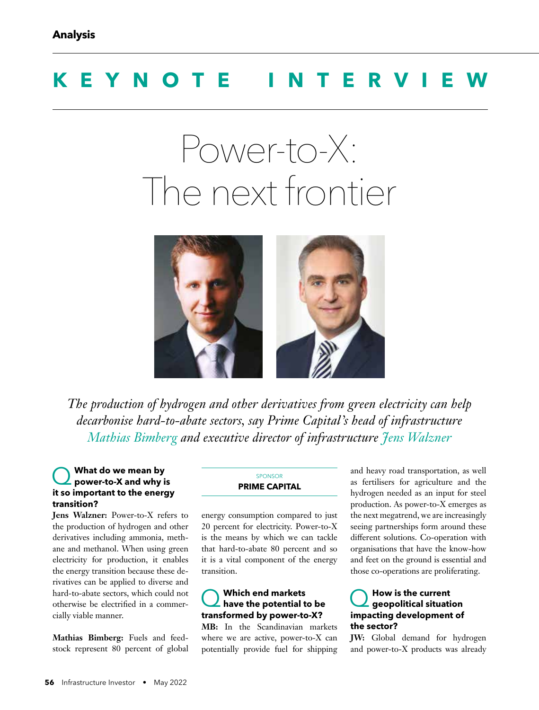# **KEYNOTE INTERV**

# Power-to-X: The next frontier



*The production of hydrogen and other derivatives from green electricity can help decarbonise hard-to-abate sectors, say Prime Capital's head of infrastructure Mathias Bimberg and executive director of infrastructure Jens Walzner*

### Q **What do we mean by power-to-X and why is it so important to the energy transition?**

**Jens Walzner:** Power-to-X refers to the production of hydrogen and other derivatives including ammonia, methane and methanol. When using green electricity for production, it enables the energy transition because these derivatives can be applied to diverse and hard-to-abate sectors, which could not otherwise be electrified in a commercially viable manner.

**Mathias Bimberg:** Fuels and feedstock represent 80 percent of global

#### SPONSOR **PRIME CAPITAL**

energy consumption compared to just 20 percent for electricity. Power-to-X is the means by which we can tackle that hard-to-abate 80 percent and so it is a vital component of the energy transition.

# Q **Which end markets have the potential to be transformed by power-to-X?**

**MB:** In the Scandinavian markets where we are active, power-to-X can potentially provide fuel for shipping and heavy road transportation, as well as fertilisers for agriculture and the hydrogen needed as an input for steel production. As power-to-X emerges as the next megatrend, we are increasingly seeing partnerships form around these different solutions. Co-operation with organisations that have the know-how and feet on the ground is essential and those co-operations are proliferating.

# Q **How is the current geopolitical situation impacting development of the sector?**

**JW:** Global demand for hydrogen and power-to-X products was already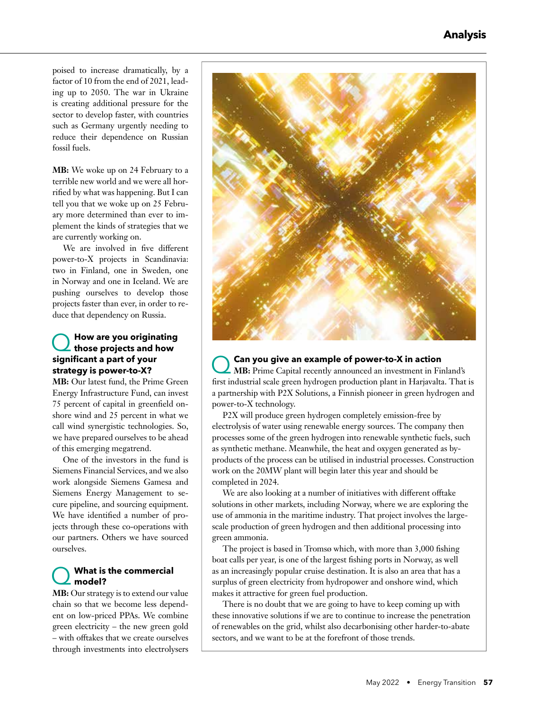poised to increase dramatically, by a factor of 10 from the end of 2021, leading up to 2050. The war in Ukraine is creating additional pressure for the sector to develop faster, with countries such as Germany urgently needing to reduce their dependence on Russian fossil fuels.

**MB:** We woke up on 24 February to a terrible new world and we were all horrified by what was happening. But I can tell you that we woke up on 25 February more determined than ever to implement the kinds of strategies that we are currently working on.

We are involved in five different power-to-X projects in Scandinavia: two in Finland, one in Sweden, one in Norway and one in Iceland. We are pushing ourselves to develop those projects faster than ever, in order to reduce that dependency on Russia.

# Q **How are you originating those projects and how signifi cant a part of your strategy is power-to-X?**

**MB:** Our latest fund, the Prime Green Energy Infrastructure Fund, can invest 75 percent of capital in greenfield onshore wind and 25 percent in what we call wind synergistic technologies. So, we have prepared ourselves to be ahead of this emerging megatrend.

One of the investors in the fund is Siemens Financial Services, and we also work alongside Siemens Gamesa and Siemens Energy Management to secure pipeline, and sourcing equipment. We have identified a number of projects through these co-operations with our partners. Others we have sourced ourselves.

#### Q **What is the commercial model?**

**MB:** Our strategy is to extend our value chain so that we become less dependent on low-priced PPAs. We combine green electricity – the new green gold – with offtakes that we create ourselves through investments into electrolysers



Q **Can you give an example of power-to-X in action MB:** Prime Capital recently announced an investment in Finland's first industrial scale green hydrogen production plant in Harjavalta. That is a partnership with P2X Solutions, a Finnish pioneer in green hydrogen and power-to-X technology.

P2X will produce green hydrogen completely emission-free by electrolysis of water using renewable energy sources. The company then processes some of the green hydrogen into renewable synthetic fuels, such as synthetic methane. Meanwhile, the heat and oxygen generated as byproducts of the process can be utilised in industrial processes. Construction work on the 20MW plant will begin later this year and should be completed in 2024.

We are also looking at a number of initiatives with different offtake solutions in other markets, including Norway, where we are exploring the use of ammonia in the maritime industry. That project involves the largescale production of green hydrogen and then additional processing into green ammonia.

The project is based in Tromsø which, with more than 3,000 fishing boat calls per year, is one of the largest fishing ports in Norway, as well as an increasingly popular cruise destination. It is also an area that has a surplus of green electricity from hydropower and onshore wind, which makes it attractive for green fuel production.

There is no doubt that we are going to have to keep coming up with these innovative solutions if we are to continue to increase the penetration of renewables on the grid, whilst also decarbonising other harder-to-abate sectors, and we want to be at the forefront of those trends.